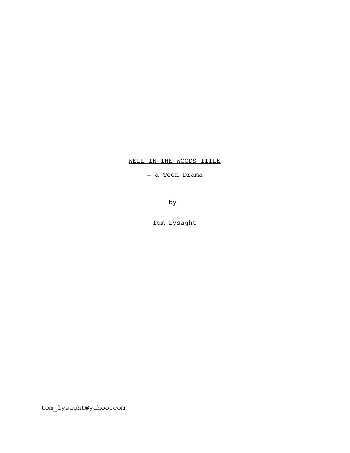# WELL IN THE WOODS TITLE

— a Teen Drama

by

Tom Lysaght

tom\_lysaght@yahoo.com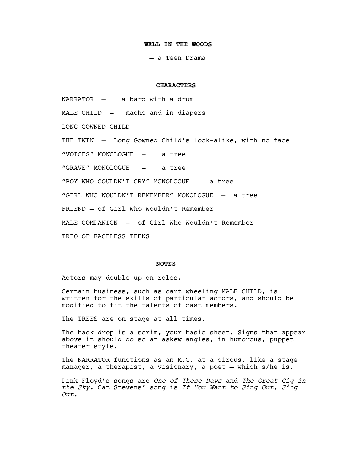### **WELL IN THE WOODS**

— a Teen Drama

### **CHARACTERS**

NARRATOR — a bard with a drum MALE CHILD — macho and in diapers LONG-GOWNED CHILD THE TWIN — Long Gowned Child's look-alike, with no face "VOICES" MONOLOGUE — a tree "GRAVE" MONOLOGUE — a tree "BOY WHO COULDN'T CRY" MONOLOGUE — a tree "GIRL WHO WOULDN'T REMEMBER" MONOLOGUE — a tree FRIEND — of Girl Who Wouldn't Remember MALE COMPANION — of Girl Who Wouldn't Remember TRIO OF FACELESS TEENS

# **NOTES**

Actors may double-up on roles.

Certain business, such as cart wheeling MALE CHILD, is written for the skills of particular actors, and should be modified to fit the talents of cast members.

The TREES are on stage at all times.

The back-drop is a scrim, your basic sheet. Signs that appear above it should do so at askew angles, in humorous, puppet theater style.

The NARRATOR functions as an M.C. at a circus, like a stage manager, a therapist, a visionary, a poet — which s/he is.

Pink Floyd's songs are *One of These Days* and *The Great Gig in the Sky.* Cat Stevens' song is *If You Want to Sing Out, Sing Out.*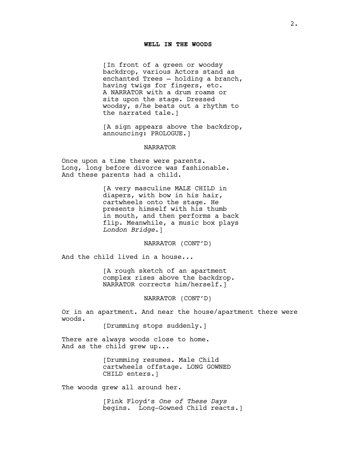#### **WELL IN THE WOODS**

[In front of a green or woodsy backdrop, various Actors stand as enchanted Trees — holding a branch, having twigs for fingers, etc. A NARRATOR with a drum roams or sits upon the stage. Dressed woodsy, s/he beats out a rhythm to the narrated tale.]

[A sign appears above the backdrop, announcing: PROLOGUE.]

### NARRATOR

Once upon a time there were parents. Long, long before divorce was fashionable. And these parents had a child.

> [A very masculine MALE CHILD in diapers, with bow in his hair, cartwheels onto the stage. He presents himself with his thumb in mouth, and then performs a back flip. Meanwhile, a music box plays *London Bridge*.]

> > NARRATOR (CONT'D)

And the child lived in a house...

[A rough sketch of an apartment complex rises above the backdrop. NARRATOR corrects him/herself.]

NARRATOR (CONT'D)

Or in an apartment. And near the house/apartment there were woods.

[Drumming stops suddenly.]

There are always woods close to home. And as the child grew up...

> [Drumming resumes. Male Child cartwheels offstage. LONG GOWNED CHILD enters.]

The woods grew all around her.

[Pink Floyd's *One of These Days*  begins. Long-Gowned Child reacts.]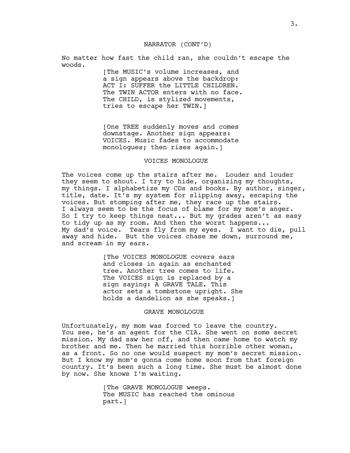### NARRATOR (CONT'D)

No matter how fast the child ran, she couldn't escape the woods.

> [The MUSIC's volume increases, and a sign appears above the backdrop: ACT I: SUFFER the LITTLE CHILDREN. The TWIN ACTOR enters with no face. The CHILD, is stylized movements, tries to escape her TWIN.]

[One TREE suddenly moves and comes downstage. Another sign appears: VOICES. Music fades to accommodate monologues; then rises again.]

#### VOICES MONOLOGUE

The voices come up the stairs after me. Louder and louder they seem to shout. I try to hide, organizing my thoughts, my things. I alphabetize my CDs and books. By author, singer, title, date. It's my system for slipping away, escaping the voices. But stomping after me, they race up the stairs. I always seem to be the focus of blame for my mom's anger. So I try to keep things neat... But my grades aren't as easy to tidy up as my room. And then the worst happens... My dad's voice. Tears fly from my eyes. I want to die, pull away and hide. But the voices chase me down, surround me, and scream in my ears.

> [The VOICES MONOLOGUE covers ears and closes in again as enchanted tree. Another tree comes to life. The VOICES sign is replaced by a sign saying: A GRAVE TALE. This actor sets a tombstone upright. She holds a dandelion as she speaks.]

#### GRAVE MONOLOGUE

Unfortunately, my mom was forced to leave the country. You see, he's an agent for the CIA. She went on some secret mission. My dad saw her off, and then came home to watch my brother and me. Then he married this horrible other woman, as a front. So no one would suspect my mom's secret mission. But I know my mom's gonna come home soon from that foreign country. It's been such a long time. She must be almost done by now. She knows I'm waiting.

> [The GRAVE MONOLOGUE weeps. The MUSIC has reached the ominous part.]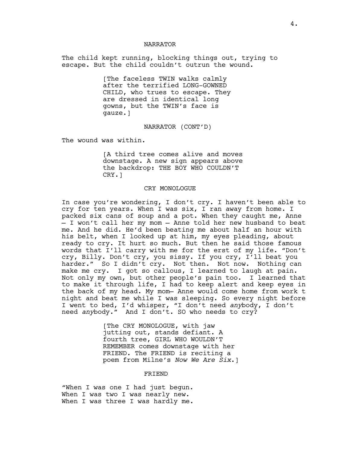### NARRATOR

The child kept running, blocking things out, trying to escape. But the child couldn't outrun the wound.

> [The faceless TWIN walks calmly after the terrified LONG-GOWNED CHILD, who trues to escape. They are dressed in identical long gowns, but the TWIN's face is gauze.]

> > NARRATOR (CONT'D)

The wound was within.

[A third tree comes alive and moves downstage. A new sign appears above the backdrop: THE BOY WHO COULDN'T CRY.]

#### CRY MONOLOGUE

In case you're wondering, I don't cry. I haven't been able to cry for ten years. When I was six, I ran away from home. I packed six cans of soup and a pot. When they caught me, Anne — I won't call her my mom — Anne told her new husband to beat me. And he did. He'd been beating me about half an hour with his belt, when I looked up at him, my eyes pleading, about ready to cry. It hurt so much. But then he said those famous words that I'll carry with me for the erst of my life. "Don't cry, Billy. Don't cry, you sissy. If you cry, I'll beat you harder." So I didn't cry. Not then. Not now. Nothing can make me cry. I got so callous, I learned to laugh at pain. Not only my own, but other people's pain too. I learned that to make it through life, I had to keep alert and keep eyes in the back of my head. My mom— Anne would come home from work t night and beat me while I was sleeping. So every night before I went to bed, I'd whisper, "I don't need *any*body, I don't need *any*body." And I don't. SO who needs to cry?

> [The CRY MONOLOGUE, with jaw jutting out, stands defiant. A fourth tree, GIRL WHO WOULDN'T REMEMBER comes downstage with her FRIEND. The FRIEND is reciting a poem from Milne's *Now We Are Six*.]

#### FRIEND

"When I was one I had just begun. When I was two I was nearly new. When I was three I was hardly me.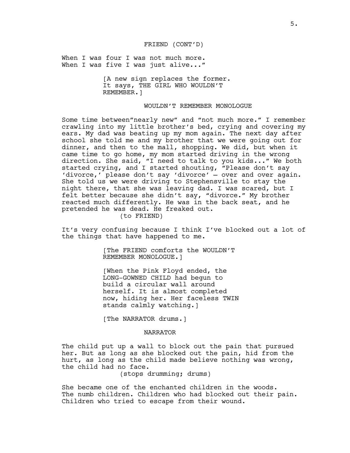### FRIEND (CONT'D)

When I was four I was not much more. When I was five I was just alive..."

> [A new sign replaces the former. It says, THE GIRL WHO WOULDN'T REMEMBER.]

### WOULDN'T REMEMBER MONOLOGUE

Some time between"nearly new" and "not much more." I remember crawling into my little brother's bed, crying and covering my ears. My dad was beating up my mom again. The next day after school she told me and my brother that we were going out for dinner, and then to the mall, shopping. We did, but when it came time to go home, my mom started driving in the wrong direction. She said, "I need to talk to you kids..." We both started crying, and I started shouting, "Please don't say 'divorce,' please don't say 'divorce' — over and over again. She told us we were driving to Stephensville to stay the night there, that she was leaving dad. I was scared, but I felt better because she didn't say, "divorce." My brother reacted much differently. He was in the back seat, and he pretended he was dead. He freaked out. (to FRIEND)

It's very confusing because I think I've blocked out a lot of the things that have happened to me.

> [The FRIEND comforts the WOULDN'T REMEMBER MONOLOGUE.]

[When the Pink Floyd ended, the LONG-GOWNED CHILD had begun to build a circular wall around herself. It is almost completed now, hiding her. Her faceless TWIN stands calmly watching.]

[The NARRATOR drums.]

#### NARRATOR

The child put up a wall to block out the pain that pursued her. But as long as she blocked out the pain, hid from the hurt, as long as the child made believe nothing was wrong, the child had no face.

(stops drumming; drums)

She became one of the enchanted children in the woods. The numb children. Children who had blocked out their pain. Children who tried to escape from their wound.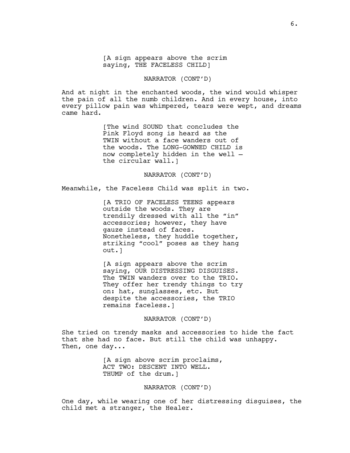[A sign appears above the scrim saying, THE FACELESS CHILD]

NARRATOR (CONT'D)

And at night in the enchanted woods, the wind would whisper the pain of all the numb children. And in every house, into every pillow pain was whimpered, tears were wept, and dreams came hard.

> [The wind SOUND that concludes the Pink Floyd song is heard as the TWIN without a face wanders out of the woods. The LONG-GOWNED CHILD is now completely hidden in the well the circular wall.]

> > NARRATOR (CONT'D)

Meanwhile, the Faceless Child was split in two.

[A TRIO OF FACELESS TEENS appears outside the woods. They are trendily dressed with all the "in" accessories; however, they have gauze instead of faces. Nonetheless, they huddle together, striking "cool" poses as they hang out.]

[A sign appears above the scrim saying, OUR DISTRESSING DISGUISES. The TWIN wanders over to the TRIO. They offer her trendy things to try on: hat, sunglasses, etc. But despite the accessories, the TRIO remains faceless.]

NARRATOR (CONT'D)

She tried on trendy masks and accessories to hide the fact that she had no face. But still the child was unhappy. Then, one day...

> [A sign above scrim proclaims, ACT TWO: DESCENT INTO WELL. THUMP of the drum.]

> > NARRATOR (CONT'D)

One day, while wearing one of her distressing disguises, the child met a stranger, the Healer.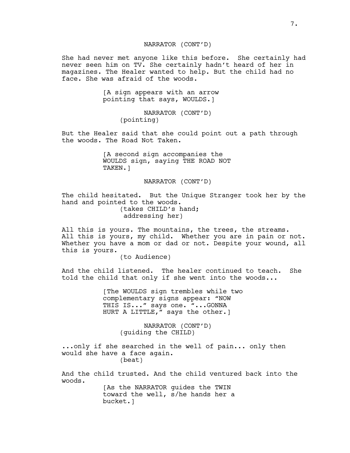### NARRATOR (CONT'D)

She had never met anyone like this before. She certainly had never seen him on TV. She certainly hadn't heard of her in magazines. The Healer wanted to help. But the child had no face. She was afraid of the woods.

> [A sign appears with an arrow pointing that says, WOULDS.]

> > NARRATOR (CONT'D) (pointing)

But the Healer said that she could point out a path through the woods. The Road Not Taken.

> [A second sign accompanies the WOULDS sign, saying THE ROAD NOT TAKEN.]

> > NARRATOR (CONT'D)

The child hesitated. But the Unique Stranger took her by the hand and pointed to the woods. (takes CHILD's hand; addressing her)

All this is yours. The mountains, the trees, the streams. All this is yours, my child. Whether you are in pain or not. Whether you have a mom or dad or not. Despite your wound, all this is yours.

(to Audience)

And the child listened. The healer continued to teach. She told the child that only if she went into the woods...

> [The WOULDS sign trembles while two complementary signs appear: "NOW THIS IS..." says one. "...GONNA HURT A LITTLE," says the other.]

> > NARRATOR (CONT'D) (guiding the CHILD)

...only if she searched in the well of pain... only then would she have a face again. (beat)

And the child trusted. And the child ventured back into the woods. [As the NARRATOR guides the TWIN

toward the well, s/he hands her a bucket.]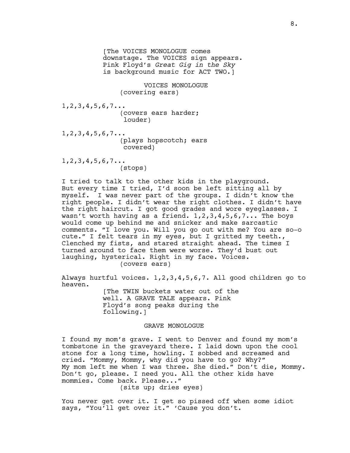[The VOICES MONOLOGUE comes downstage. The VOICES sign appears. Pink Floyd's *Great Gig in the Sky* is background music for ACT TWO.] VOICES MONOLOGUE (covering ears) 1,2,3,4,5,6,7... (covers ears harder; louder) 1,2,3,4,5,6,7... (plays hopscotch; ears covered) 1,2,3,4,5,6,7... (stops)

I tried to talk to the other kids in the playground. But every time I tried, I'd soon be left sitting all by myself. I was never part of the groups. I didn't know the right people. I didn't wear the right clothes. I didn't have the right haircut. I got good grades and wore eyeglasses. I wasn't worth having as a friend.  $1,2,3,4,5,6,7...$  The boys would come up behind me and snicker and make sarcastic comments. "I love you. Will you go out with me? You are so-o cute." I felt tears in my eyes, but I gritted my teeth., Clenched my fists, and stared straight ahead. The times I turned around to face them were worse. They'd bust out laughing, hysterical. Right in my face. Voices. (covers ears)

Always hurtful voices. 1,2,3,4,5,6,7. All good children go to heaven.

> [The TWIN buckets water out of the well. A GRAVE TALE appears. Pink Floyd's song peaks during the following.]

### GRAVE MONOLOGUE

I found my mom's grave. I went to Denver and found my mom's tombstone in the graveyard there. I laid down upon the cool stone for a long time, howling. I sobbed and screamed and cried. "Mommy, Mommy, why did you have to go? Why?" My mom left me when I was three. She died." Don't die, Mommy. Don't go, please. I need you. All the other kids have mommies. Come back. Please..."

(sits up; dries eyes)

You never get over it. I get so pissed off when some idiot says, "You'll get over it." 'Cause you don't.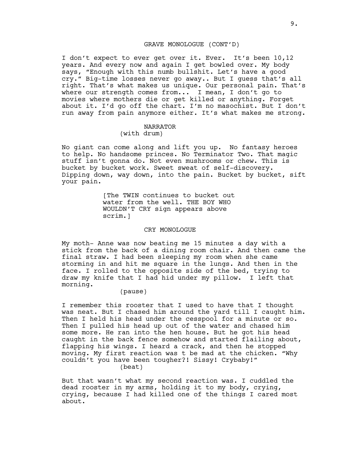### GRAVE MONOLOGUE (CONT'D)

I don't expect to ever get over it. Ever. It's been 10,12 years. And every now and again I get bowled over. My body says, "Enough with this numb bullshit. Let's have a good cry." Big-time losses never go away.. But I guess that's all right. That's what makes us unique. Our personal pain. That's where our strength comes from... I mean, I don't go to movies where mothers die or get killed or anything. Forget about it. I'd go off the chart. I'm no masochist. But I don't run away from pain anymore either. It's what makes me strong.

#### NARRATOR

## (with drum)

No giant can come along and lift you up. No fantasy heroes to help. No handsome princes. No Terminator Two. That magic stuff isn't gonna do. Not even mushrooms or chew. This is bucket by bucket work. Sweet sweat of self-discovery. Dipping down, way down, into the pain. Bucket by bucket, sift your pain.

> [The TWIN continues to bucket out water from the well. THE BOY WHO WOULDN'T CRY sign appears above scrim.]

### CRY MONOLOGUE

My moth- Anne was now beating me 15 minutes a day with a stick from the back of a dining room chair. And then came the final straw. I had been sleeping my room when she came storming in and hit me square in the lungs. And then in the face. I rolled to the opposite side of the bed, trying to draw my knife that I had hid under my pillow. I left that morning.

### (pause)

I remember this rooster that I used to have that I thought was neat. But I chased him around the yard till I caught him. Then I held his head under the cesspool for a minute or so. Then I pulled his head up out of the water and chased him some more. He ran into the hen house. But he got his head caught in the back fence somehow and started flailing about, flapping his wings. I heard a crack, and then he stopped moving. My first reaction was t be mad at the chicken. "Why couldn't you have been tougher?! Sissy! Crybaby!" (beat)

But that wasn't what my second reaction was. I cuddled the dead rooster in my arms, holding it to my body, crying, crying, because I had killed one of the things I cared most about.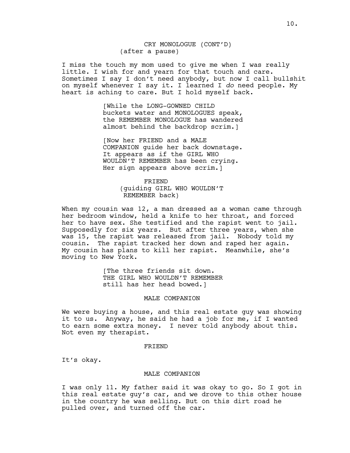CRY MONOLOGUE (CONT'D) (after a pause)

I miss the touch my mom used to give me when I was really little. I wish for and yearn for that touch and care. Sometimes I say I don't need anybody, but now I call bullshit on myself whenever I say it. I learned I *do* need people. My heart is aching to care. But I hold myself back.

> [While the LONG-GOWNED CHILD buckets water and MONOLOGUES speak, the REMEMBER MONOLOGUE has wandered almost behind the backdrop scrim.]

[Now her FRIEND and a MALE COMPANION guide her back downstage. It appears as if the GIRL WHO WOULDN'T REMEMBER has been crying. Her sign appears above scrim.]

#### FRIEND

(guiding GIRL WHO WOULDN'T REMEMBER back)

When my cousin was 12, a man dressed as a woman came through her bedroom window, held a knife to her throat, and forced her to have sex. She testified and the rapist went to jail. Supposedly for six years. But after three years, when she was 15, the rapist was released from jail. Nobody told my cousin. The rapist tracked her down and raped her again. My cousin has plans to kill her rapist. Meanwhile, she's moving to New York.

> [The three friends sit down. THE GIRL WHO WOULDN'T REMEMBER still has her head bowed.]

#### MALE COMPANION

We were buying a house, and this real estate guy was showing it to us. Anyway, he said he had a job for me, if I wanted to earn some extra money. I never told anybody about this. Not even my therapist.

#### FRIEND

It's okay.

#### MALE COMPANION

I was only 11. My father said it was okay to go. So I got in this real estate guy's car, and we drove to this other house in the country he was selling. But on this dirt road he pulled over, and turned off the car.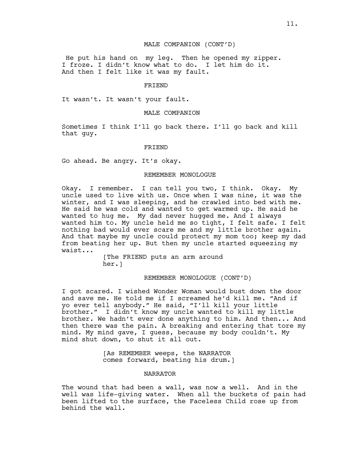### MALE COMPANION (CONT'D)

 He put his hand on my leg. Then he opened my zipper. I froze. I didn't know what to do. I let him do it. And then I felt like it was my fault.

#### FRIEND

It wasn't. It wasn't your fault.

### MALE COMPANION

Sometimes I think I'll go back there. I'll go back and kill that guy.

#### FRIEND

Go ahead. Be angry. It's okay.

### REMEMBER MONOLOGUE

Okay. I remember. I can tell you two, I think. Okay. My uncle used to live with us. Once when I was nine, it was the winter, and I was sleeping, and he crawled into bed with me. He said he was cold and wanted to get warmed up. He said he wanted to hug me. My dad never hugged me. And I always wanted him to. My uncle held me so tight, I felt safe. I felt nothing bad would ever scare me and my little brother again. And that maybe my uncle could protect my mom too; keep my dad from beating her up. But then my uncle started squeezing my waist...

> [The FRIEND puts an arm around her.]

> > REMEMBER MONOLOGUE (CONT'D)

I got scared. I wished Wonder Woman would bust down the door and save me. He told me if I screamed he'd kill me. "And if yo ever tell anybody." He said, "I'll kill your little brother." I didn't know my uncle wanted to kill my little brother. We hadn't ever done anything to him. And then... And then there was the pain. A breaking and entering that tore my mind. My mind gave, I guess, because my body couldn't. My mind shut down, to shut it all out.

> [As REMEMBER weeps, the NARRATOR comes forward, beating his drum.]

### NARRATOR

The wound that had been a wall, was now a well. And in the well was life-giving water. When all the buckets of pain had been lifted to the surface, the Faceless Child rose up from behind the wall.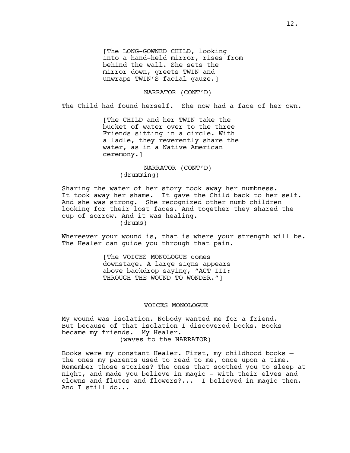[The LONG-GOWNED CHILD, looking into a hand-held mirror, rises from behind the wall. She sets the mirror down, greets TWIN and unwraps TWIN'S facial gauze.]

NARRATOR (CONT'D)

The Child had found herself. She now had a face of her own.

[The CHILD and her TWIN take the bucket of water over to the three Friends sitting in a circle. With a ladle, they reverently share the water, as in a Native American ceremony.]

> NARRATOR (CONT'D) (drumming)

Sharing the water of her story took away her numbness. It took away her shame. It gave the Child back to her self. And she was strong. She recognized other numb children looking for their lost faces. And together they shared the cup of sorrow. And it was healing. (drums)

Whereever your wound is, that is where your strength will be. The Healer can guide you through that pain.

> [The VOICES MONOLOGUE comes downstage. A large signs appears above backdrop saying, "ACT III: THROUGH THE WOUND TO WONDER."]

### VOICES MONOLOGUE

My wound was isolation. Nobody wanted me for a friend. But because of that isolation I discovered books. Books became my friends. My Healer. (waves to the NARRATOR)

Books were my constant Healer. First, my childhood books the ones my parents used to read to me, once upon a time. Remember those stories? The ones that soothed you to sleep at night, and made you believe in magic - with their elves and clowns and flutes and flowers?... I believed in magic then. And I still do...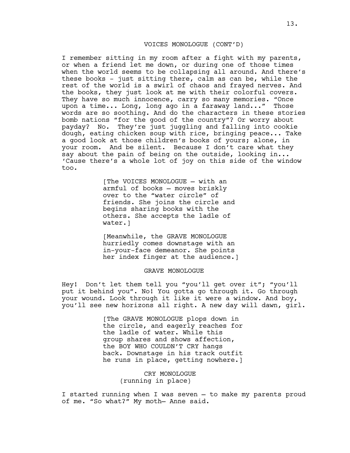### VOICES MONOLOGUE (CONT'D)

I remember sitting in my room after a fight with my parents, or when a friend let me down, or during one of those times when the world seems to be collapsing all around. And there's these books – just sitting there, calm as can be, while the rest of the world is a swirl of chaos and frayed nerves. And the books, they just look at me with their colorful covers. They have so much innocence, carry so many memories. "Once upon a time... Long, long ago in a faraway land..." Those words are so soothing. And do the characters in these stories bomb nations "for the good of the country"? Or worry about payday? No. They're just juggling and falling into cookie dough, eating chicken soup with rice, bringing peace... Take a good look at those children's books of yours; alone, in your room. And be silent. Because I don't care what they say about the pain of being on the outside, looking in... 'Cause there's a whole lot of joy on this side of the window too.

> [The VOICES MONOLOGUE — with an armful of books — moves briskly over to the "water circle" of friends. She joins the circle and begins sharing books with the others. She accepts the ladle of water.]

[Meanwhile, the GRAVE MONOLOGUE hurriedly comes downstage with an in-your-face demeanor. She points her index finger at the audience.]

#### GRAVE MONOLOGUE

Hey! Don't let them tell you "you'll get over it"; "you'll put it behind you". No! You gotta go through it. Go through your wound. Look through it like it were a window. And boy, you'll see new horizons all right. A new day will dawn, girl.

> [The GRAVE MONOLOGUE plops down in the circle, and eagerly reaches for the ladle of water. While this group shares and shows affection, the BOY WHO COULDN'T CRY hangs back. Downstage in his track outfit he runs in place, getting nowhere.]

> > CRY MONOLOGUE (running in place)

I started running when I was seven — to make my parents proud of me. "So what?" My moth— Anne said.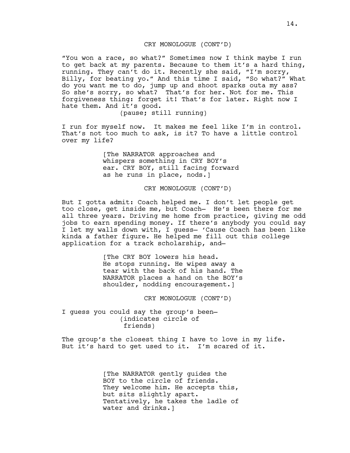### CRY MONOLOGUE (CONT'D)

"You won a race, so what?" Sometimes now I think maybe I run to get back at my parents. Because to them it's a hard thing, running. They can't do it. Recently she said, "I'm sorry, Billy, for beating yo." And this time I said, "So what?" What do you want me to do, jump up and shoot sparks outa my ass? So she's sorry, so what? That's for her. Not for me. This forgiveness thing: forget it! That's for later. Right now I hate them. And it's good.

(pause; still running)

I run for myself now. It makes me feel like I'm in control. That's not too much to ask, is it? To have a little control over my life?

> [The NARRATOR approaches and whispers something in CRY BOY's ear. CRY BOY, still facing forward as he runs in place, nods.]

> > CRY MONOLOGUE (CONT'D)

But I gotta admit: Coach helped me. I don't let people get too close, get inside me, but Coach— He's been there for me all three years. Driving me home from practice, giving me odd jobs to earn spending money. If there's anybody you could say I let my walls down with, I guess— 'Cause Coach has been like kinda a father figure. He helped me fill out this college application for a track scholarship, and—

> [The CRY BOY lowers his head. He stops running. He wipes away a tear with the back of his hand. The NARRATOR places a hand on the BOY's shoulder, nodding encouragement.]

> > CRY MONOLOGUE (CONT'D)

I guess you could say the group's been— (indicates circle of friends)

The group's the closest thing I have to love in my life. But it's hard to get used to it. I'm scared of it.

> [The NARRATOR gently guides the BOY to the circle of friends. They welcome him. He accepts this, but sits slightly apart. Tentatively, he takes the ladle of water and drinks.]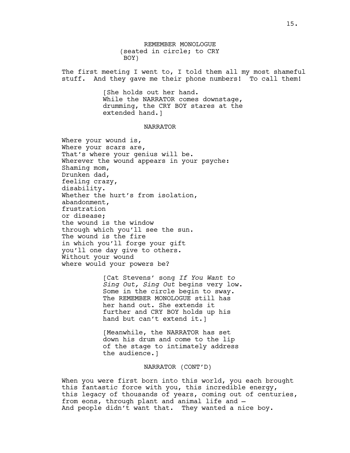REMEMBER MONOLOGUE (seated in circle; to CRY BOY)

The first meeting I went to, I told them all my most shameful stuff. And they gave me their phone numbers! To call them!

> [She holds out her hand. While the NARRATOR comes downstage, drumming, the CRY BOY stares at the extended hand.]

#### NARRATOR

Where your wound is, Where your scars are, That's where your genius will be. Wherever the wound appears in your psyche: Shaming mom, Drunken dad, feeling crazy, disability. Whether the hurt's from isolation, abandonment, frustration or disease; the wound is the window through which you'll see the sun. The wound is the fire in which you'll forge your gift you'll one day give to others. Without your wound where would your powers be?

> [Cat Stevens' song *If You Want to Sing Out, Sing Out* begins very low. Some in the circle begin to sway. The REMEMBER MONOLOGUE still has her hand out. She extends it further and CRY BOY holds up his hand but can't extend it.]

[Meanwhile, the NARRATOR has set down his drum and come to the lip of the stage to intimately address the audience.]

NARRATOR (CONT'D)

When you were first born into this world, you each brought this fantastic force with you, this incredible energy, this legacy of thousands of years, coming out of centuries, from eons, through plant and animal life and — And people didn't want that. They wanted a nice boy.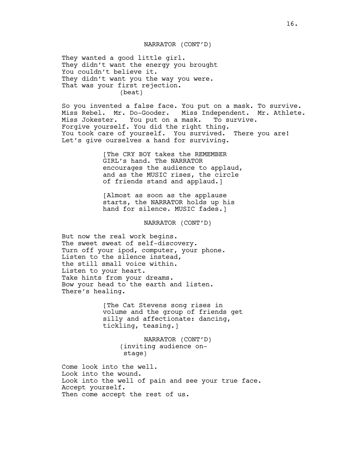NARRATOR (CONT'D)

They wanted a good little girl. They didn't want the energy you brought You couldn't believe it. They didn't want you the way you were. That was your first rejection. (beat)

So you invented a false face. You put on a mask. To survive. Miss Rebel. Mr. Do-Gooder. Miss Independent. Mr. Athlete. Miss Jokester. You put on a mask. To survive. Forgive yourself. You did the right thing. You took care of yourself. You survived. There you are! Let's give ourselves a hand for surviving.

> [The CRY BOY takes the REMEMBER GIRL's hand. The NARRATOR encourages the audience to applaud, and as the MUSIC rises, the circle of friends stand and applaud.]

[Almost as soon as the applause starts, the NARRATOR holds up his hand for silence. MUSIC fades.]

NARRATOR (CONT'D)

But now the real work begins. The sweet sweat of self-discovery. Turn off your ipod, computer, your phone. Listen to the silence instead, the still small voice within. Listen to your heart. Take hints from your dreams. Bow your head to the earth and listen. There's healing.

> [The Cat Stevens song rises in volume and the group of friends get silly and affectionate: dancing, tickling, teasing.]

> > NARRATOR (CONT'D) (inviting audience onstage)

Come look into the well. Look into the wound. Look into the well of pain and see your true face. Accept yourself. Then come accept the rest of us.